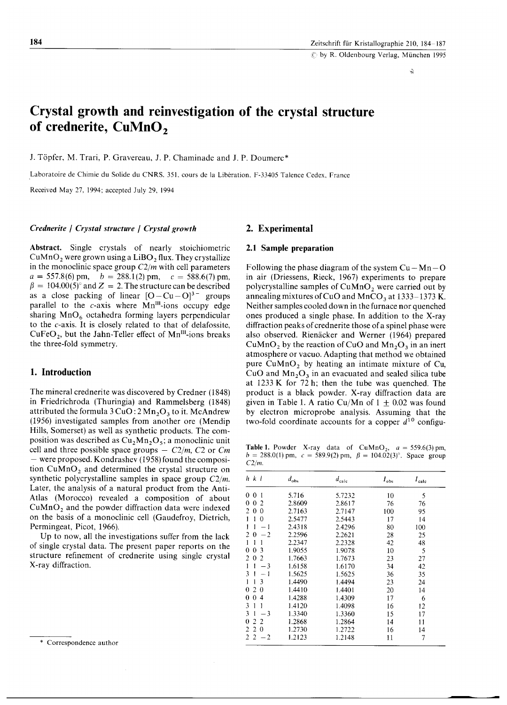# **Crystal growth and reinvestigation of the crystal structure of crednerite, CuMnO <sup>2</sup>**

J. Töpfer, M. Trari, P. Gravereau, J. P. Chaminade and J. P. Doumerc\*

Laboratoire de Chimie du Solide du CNRS. 35L cours de la Liberation. F-33405 Talence Cedex, France

Received May 27, 1994; accepted July 29, 1994

#### *Crednerite I Crystal structure I Crystal growth*

Abstract. Single crystals of nearly stoichiometric CuMnO<sub>2</sub> were grown using a LiBO<sub>2</sub> flux. They crystallize in the monoclinic space group *C2/m* with cell parameters  $a = 557.8(6)$  pm,  $b = 288.1(2)$  pm,  $c = 588.6(7)$  pm,  $\beta = 104.00(5)$ <sup>o</sup> and Z = 2. The structure can be described as a close packing of linear  $[O - Cu - O]^3$  groups parallel to the  $c$ -axis where Mn<sup>III</sup>-ions occupy edge sharing  $MnO_6$  octahedra forming layers perpendicular to the c-axis. It is closely related to that of delafossite, CuFeO<sub>2</sub>, but the Jahn-Teller effect of Mn<sup>III</sup>-ions breaks the three-fold symmetry.

# 1. Introduction

The mineral crednerite was discovered by Credner (1848) in Friedrichroda (Thuringia) and Rammelsberg (1848) attributed the formula  $3 CuO: 2 Mn<sub>2</sub>O<sub>3</sub>$  to it. McAndrew (1956) investigated samples from another ore (Mendip Hills, Somerset) as well as synthetic products. The composition was described as  $Cu<sub>2</sub>Mn<sub>2</sub>O<sub>5</sub>$ ; a monoclinic unit cell and three possible space groups  $- C2/m$ ,  $C2$  or  $Cm$  $-$  were proposed. Kondrashev (1958) found the composition  $CuMnO<sub>2</sub>$  and determined the crystal structure on synthetic polycrystalline samples in space group *C2/m.* Later, the analysis of a natural product from the Anti-Atlas (Morocco) revealed a composition of about  $CuMnO<sub>2</sub>$  and the powder diffraction data were indexed on the basis of a monoclinic cell (Gaudefroy, Dietrich, Permingeat, Picot, 1966).

Up to now, all the investigations suffer from the lack of single crystal data. The present paper reports on the structure refinement of crednerite using single crystal X-ray diffraction.

# 2. Experimental

#### 2.1 Sample preparation

Following the phase diagram of the system  $Cu - Mn - O$ in air (Driessens, Rieck, 1967) experiments to prepare polycrystalline samples of  $CuMnO<sub>2</sub>$  were carried out by annealing mixtures of CuO and MnCO<sub>3</sub> at 1333–1373 K. Neither samples cooled down in the furnace nor quenched ones produced a single phase. In addition to the X-ray diffraction peaks of crednerite those of a spinel phase were also observed. Rienacker and Werner (1964) prepared CuMnO<sub>2</sub> by the reaction of CuO and Mn<sub>2</sub>O<sub>3</sub> in an inert atmosphere or vacuo. Adapting that method we obtained pure  $CuMnO<sub>2</sub>$  by heating an intimate mixture of Cu, CuO and  $Mn<sub>2</sub>O<sub>3</sub>$  in an evacuated and sealed silica tube at 1233 K for 72 h; then the tube was quenched. The product is a black powder. X-ray diffraction data are given in Table 1. A ratio Cu/Mn of  $1 \pm 0.02$  was found by electron microprobe analysis. Assuming that the two-fold coordinate accounts for a copper  $d^{10}$  configu-

**Table 1.** Powder X-ray data of  $CuMnO_2$ ,  $a = 559.6(3)$  pm,  $b = 288.0(1)$  pm,  $c = 589.9(2)$  pm,  $\beta = 104.02(3)$ °. Space group *C2/m.*

| $h \, k \, l$                           | $d_{\text{obs}}$ | $d_{\rm calc}$ | $I_{\rm obs}$ | $I_{\text{calc}}$ |
|-----------------------------------------|------------------|----------------|---------------|-------------------|
| 0<br>0<br>1                             | 5.716            | 5.7232         | 10            | 5                 |
| 2<br>0<br>0                             | 2.8609           | 2.8617         | 76            | 76                |
| $\Omega$<br>$\mathcal{L}$<br>0          | 2.7163           | 2.7147         | 100           | 95                |
| 1<br>$\theta$<br>1                      | 2.5477           | 2.5443         | 17            | 14                |
| 1<br>$-1$                               | 2.4318           | 2.4296         | 80            | 100               |
| $\mathcal{L}$<br>0<br>$-2$              | 2.2596           | 2.2621         | 28            | 25                |
| 1<br>1                                  | 2.2347           | 2.2328         | 42            | 48                |
| 3<br>0<br>0                             | 1.9055           | 1.9078         | 10            | 5                 |
| 2<br>2<br>0.                            | 1.7663           | 1.7673         | 23            | 27                |
| 1<br>$-3$                               | 1.6158           | 1.6170         | 34            | 42                |
| 3<br>— 1                                | 1.5625           | 1.5625         | 36            | 35                |
| 3<br>1                                  | 1.4490           | 1.4494         | 23            | 24                |
| 0<br>$\overline{2}$<br>$\theta$         | 1.4410           | 1.4401         | 20            | 14                |
| $\overline{4}$<br>0<br>0                | 1.4288           | 1.4309         | 17            | 6                 |
| 1<br>1<br>3                             | 1.4120           | 1.4098         | 16            | 12                |
| 3<br>$\mathbf{1}$<br>$-3$               | 1.3340           | 1.3360         | 15            | 17                |
| $\mathfrak{D}$<br>2<br>0                | 1.2868           | 1.2864         | 14            | 11                |
| $\theta$<br>$\overline{2}$<br>2         | 1.2730           | 1.2722         | 16            | 14                |
| $\mathcal{L}$<br>$\overline{2}$<br>$-2$ | 1.2123           | 1.2148         | 11            | 7                 |

-

\* Correspondence author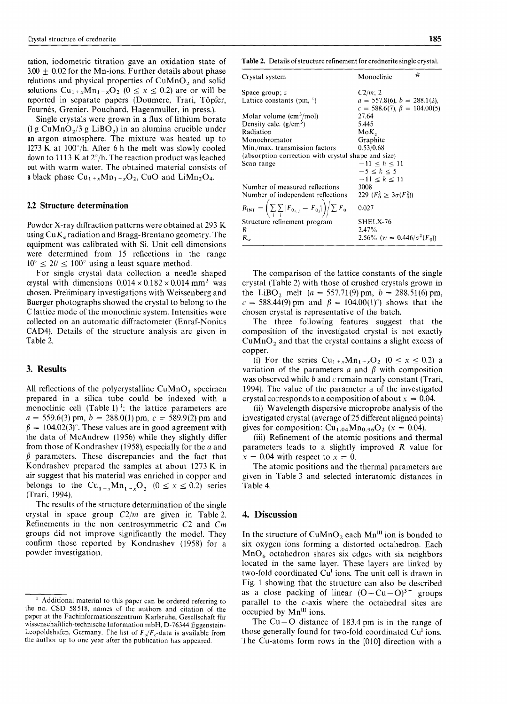ration, iodometric titration gave an oxidation state of Table 2. Details of structure refinement for crednerite single crystal.  $3.00 \pm 0.02$  for the Mn-ions. Further details about phase relations and physical properties of  $CuMnO<sub>2</sub>$  and solid solutions  $Cu_{1+x}Mn_{1-x}O_2$  ( $0 \le x \le 0.2$ ) are or will be reported in separate papers (Doumerc, Trari, Topfer, Fournes, Grenier, Pouchard, Hagenmuller, in press.).

Single crystals were grown in a flux of lithium borate  $(1 \text{ g } \text{CuMnO}_2/3 \text{ g } \text{LiBO}_2)$  in an alumina crucible under an argon atmosphere. The mixture was heated up to 1273K at *100<sup>0</sup> /h.* After 6 h the melt was slowly cooled downto 1113 Kat 2°*Ih.*The reaction product was leached out with warm water. The obtained material consists of a black phase  $Cu_{1+x}Mn_{1-x}O_2$ , CuO and LiMn<sub>2</sub>O<sub>4</sub>.

## 2.2 Structure determination

Powder X-ray diffraction patterns were obtained at 293 K using  $Cu K<sub>a</sub>$  radiation and Bragg-Brentano geometry. The equipment was calibrated with Si. Unit cell dimensions were determined from 15 reflections in the range  $10^{\circ} \leq 2\theta \leq 100^{\circ}$  using a least square method.

For single crystal data collection a needle shaped crystal with dimensions  $0.014 \times 0.182 \times 0.014$  mm<sup>3</sup> was chosen. Preliminary investigations with Weissenberg and Buerger photographs showed the crystal to belong to the C lattice mode of the monoclinic system. Intensities were collected on an automatic diffractometer (Enraf-Nonius CAD4). Details of the structure analysis are given in Table 2.

#### 3. Results

All reflections of the polycrystalline  $CuMnO<sub>2</sub>$  specimen prepared in a silica tube could be indexed with a monoclinic cell (Table 1)<sup> $1$ </sup>; the lattice parameters are  $a = 559.6(3)$  pm,  $b = 288.0(1)$  pm,  $c = 589.9(2)$  pm and  $\beta = 104.02(3)$ °. These values are in good agreement with the data of McAndrew (1956) while they slightly differ from those of Kondrashev (1958), especially for the *a* and  $\beta$  parameters. These discrepancies and the fact that Kondrashev prepared the samples at about 1273 K in air suggest that his material was enriched in copper and belongs to the  $Cu_{1+x}Mn_{1-x}O_2$  ( $0 \le x \le 0.2$ ) series (Trari, 1994).

The results of the structure determination of the single crystal in space group  $C2/m$  are given in Table 2. Refinements in the non centrosymmetric C2 and *Cm* groups did not improve significantly the model. They confirm those reported by Kondrashev (1958) for a powder investigation.

| Crystal system                                                                  | ÷,<br>Monoclinic                   |
|---------------------------------------------------------------------------------|------------------------------------|
| Space group; z                                                                  | $C2/m$ ; 2                         |
| Lattice constants (pm, $\degree$ )                                              | $a = 557.8(6), b = 288.1(2),$      |
|                                                                                 | $c = 588.6(7), \beta = 104.00(5)$  |
| Molar volume $\text{(cm}^3/\text{mol})$                                         | 27.64                              |
| Density calc. $(g/cm^3)$                                                        | 5.445                              |
| Radiation                                                                       | $MoK_{\alpha}$                     |
| Monochromator                                                                   | Graphite                           |
| Min./max. transmission factors                                                  | 0.53/0.68                          |
| (absorption correction with crystal shape and size)                             |                                    |
| Scan range                                                                      | $-11 < h < 11$                     |
|                                                                                 | $-5 \le k \le 5$                   |
|                                                                                 | $-11 \le k \le 11$                 |
| Number of measured reflections                                                  | 3008                               |
| Number of independent reflections                                               | 229 $(F_0^2 \geq 3\sigma(F_0^2))$  |
| $R_{\rm INT} = \left( \sum_i \sum_j  F_{0_{i,j}} - F_{0_j}  \right) / \sum F_0$ | 0.027                              |
| Structure refinement program                                                    | SHELX-76                           |
| R                                                                               | 2.47%                              |
| $R_{w}$                                                                         | 2.56% (w = $0.446/\sigma^2(F_0)$ ) |

The comparison of the lattice constants of the single crystal (Table 2) with those of crushed crystals grown in the LiBO<sub>2</sub> melt  $(a = 557.71(9)$  pm,  $b = 288.51(6)$  pm,  $c = 588.44(9)$  pm and  $\beta = 104.00(1)$ °) shows that the chosen crystal is representative of the batch.

The three following features suggest that the composition of the investigated crystal is not exactly  $CuMnO<sub>2</sub>$  and that the crystal contains a slight excess of copper.

(i) For the series  $Cu_{1+x}Mn_{1-x}O_2$  ( $0 \leq x \leq 0.2$ ) a variation of the parameters *a* and  $\beta$  with composition was observed while  $b$  and  $c$  remain nearly constant (Trari, 1994). The value of the parameter a of the investigated crystal corresponds to a composition of about  $x = 0.04$ .

(ii) Wavelength dispersive microprobe analysis of the investigated crystal (average of25 different aligned points) gives for composition:  $Cu_{1.04}Mn_{0.96}O_2$  (x = 0.04).

(iii) Refinement of the atomic positions and thermal parameters leads to a slightly improved R value for  $x = 0.04$  with respect to  $x = 0$ .

The atomic positions and the thermal parameters are given in Table 3 and selected interatomic distances in Table 4.

### 4. Discussion

In the structure of  $CuMnO<sub>2</sub>$  each  $Mn<sup>III</sup>$  ion is bonded to six oxygen ions forming a distorted octahedron. Each  $MnO<sub>6</sub>$  octahedron shares six edges with six neighbors located in the same layer. These layers are linked by two-fold coordinated  $Cu<sup>I</sup>$  ions. The unit cell is drawn in Fig. 1 showing that the structure can also be described as a close packing of linear  $(O - Cu - O)^{3}$  groups parallel to the c-axis where the octahedral sites are occupied by MnIII ions.

equilibution cupied by Mn<sup>III</sup> ions.<br>The Cu – O distance of 183.4 pm is in the range of those generally found for two-fold coordinated Cu<sup>I</sup> ions. The Cu-atoms form rows in the [010] direction with a

<sup>&</sup>lt;sup>1</sup> Additional material to this paper can be ordered referring to the no. CSD 58518, names of the authors and citation of the paper at the Fachinformationszentrum Karlsruhe, Gesellschaft fur wissenschaftlich-technische Information mbH, D-76344 Eggenstein-Leopoldshafen, Germany. The list of  $F_{\rm o}/F_{\rm c}$ -data is available from the author up to one year after the publication has appeared.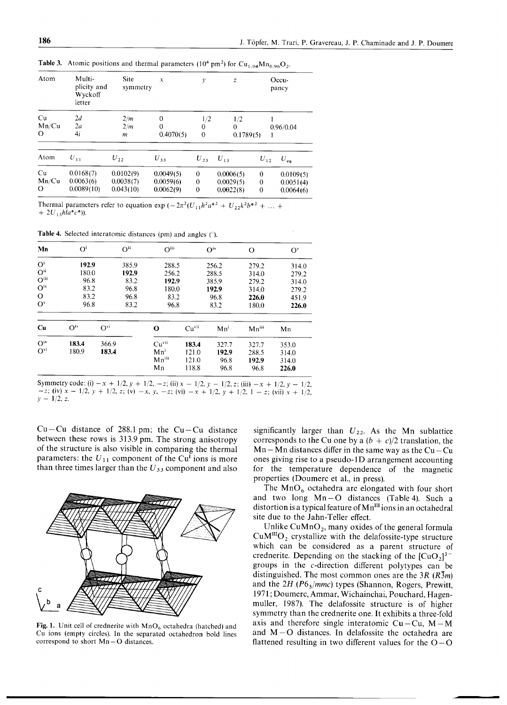| Atom                   | Multi-<br>plicity and<br>Wyckoff<br>letter | <b>Site</b><br>symmetry             | $\boldsymbol{x}$                      | y                                    | Z                                   |                                     | $Occu -$<br>pancy                   |
|------------------------|--------------------------------------------|-------------------------------------|---------------------------------------|--------------------------------------|-------------------------------------|-------------------------------------|-------------------------------------|
| Cu<br>Mn/Cu<br>$\circ$ | 2d<br>2a<br>4i                             | 2/m<br>2/m<br>m                     | $\theta$<br>$\mathbf{0}$<br>0.4070(5) | 1/2<br>$\theta$<br>$\theta$          | 1/2<br>$\theta$<br>0.1789(5)        |                                     | 0.96/0.04                           |
| Atom                   | $U_{11}$                                   | $U_{22}$                            | $U_{33}$                              | $U_{23}$                             | $U_{13}$                            | $U_{12}$                            | $U_{eq}$                            |
| Cu<br>Mn/Cu<br>O       | 0.0168(7)<br>0.0063(6)<br>0.0089(10)       | 0.0102(9)<br>0.0038(7)<br>0.043(10) | 0.0049(5)<br>0.0059(6)<br>0.0062(9)   | $\mathbf{0}$<br>$\theta$<br>$\bf{0}$ | 0.0006(5)<br>0.0029(5)<br>0.0022(8) | $\bf{0}$<br>$\theta$<br>$\mathbf 0$ | 0.0109(5)<br>0.0051(4)<br>0.0064(6) |

Table 3. Atomic positions and thermal parameters  $(10^4 \text{ pm}^2)$  for Cu<sub>1.04</sub>Mn<sub>0.96</sub>O<sub>2</sub>.

Thermal parameters refer to equation exp  $(-2\pi^2(U_{11}h^2a^{*2} + U_{22}k^2b^{*2} + \dots +$  $+ 2U_{13}hla^*c^*$ )).

Table 4. Selected interatomic distances (pm) and angles  $(°)$ .

| Mn                       | O <sup>i</sup>  |          | $O^{ii}$ | O <sup>iii</sup> |                  | O <sup>iv</sup> | O              | $O^{v}$        |
|--------------------------|-----------------|----------|----------|------------------|------------------|-----------------|----------------|----------------|
| O <sup>i</sup>           | 192.9           |          | 385.9    | 288.5            |                  | 256.2           | 279.2          | 314.0          |
| $O^{ii}$                 | 180.0           |          | 192.9    |                  | 256.2<br>288.5   |                 | 314.0          | 279.2          |
| O <sup>iii</sup>         | 96.8            |          | 83.2     | 192.9            | 385.9            |                 | 279.2          | 314.0          |
| $\mathbf{O}^{\text{iv}}$ | 83.2<br>83.2    |          | 96.8     | 180.0            |                  | 192.9           | 314.0<br>226.0 | 279.2<br>451.9 |
| $\Omega$                 |                 |          | 96.8     | 83.2             |                  | 96.8            |                |                |
| $O^{v}$                  | 96.8            |          | 83.2     | 96.8             |                  | 83.2            | 180.0          | 226.0          |
| Cu                       | O <sup>iv</sup> | $O^{vi}$ |          | O                | Cu <sup>vi</sup> | Mn <sup>i</sup> | $Mn^{iii}$     | Mn             |
| $O^{iv}$                 | 183.4           | 366.9    |          | Cu <sup>vi</sup> | 183.4            | 327.7           | 327.7          | 353.0          |
| $O^{vi}$                 | 180.9           | 183.4    |          | Mn <sup>i</sup>  | 121.0            | 192.9           | 288.5          | 314.0          |
|                          |                 |          |          | Mniii            | 121.0            | 96.8            | 192.9          | 314.0          |
|                          |                 |          |          | Mn               | 118.8            | 96.8            | 96.8           | 226.0          |

Symmetry code: (i)  $-x + 1/2$ ,  $y + 1/2$ ,  $-z$ ; (ii)  $x - 1/2$ ,  $y - 1/2$ ,  $z$ ; (iii)  $-x + 1/2$ ,  $y - 1/2$ ,  $-z$ ; (iv)  $x - 1/2$ ,  $y + 1/2$ ,  $z$ ; (v)  $-x$ ,  $y$ ,  $-z$ ; (vi)  $-x + 1/2$ ,  $y + 1/2$ ,  $1 - z$ ; (vii)  $x + 1/2$ ,  $y-1/2, z.$ 

Cu–Cu distance of 288.1 pm; the Cu–Cu distance between these rows is 313.9 pm. The strong anisotropy of the structure is also visible in comparing the thermal parameters: the  $U_{11}$  component of the Cu<sup>I</sup> ions is more than three times larger than the *U*<sup>33</sup> component and also



Fig. 1. Unit cell of crednerite with  $MnO_6$  octahedra (hatched) and Cu ions (empty circles). In the separated octahedron bold lines correspond to short  $Mn-O$  distance

significantly larger than  $U_{22}$ . As the Mn sublattice corresponds to the Cu one by a  $(b + c)/2$  translation, the  $Mn-Mn$  distances differ in the same way as the  $Cu - Cu$ ones giving rise to a pseudo-ID arrangement accounting for the temperature dependence of the magnetic properties (Doumerc et aI., in press).

The  $MnO_6$  octahedra are elongated with four short and two long  $Mn-O$  distances (Table 4). Such a distortion is a typical feature of  $Mn^{III}$  ions in an octahedral site due to the Jahn- Teller effect.

.."' .."' Unlike  $CuMnO<sub>2</sub>$ , many oxides of the general formula  $CuM<sup>III</sup>O<sub>2</sub>$  crystallize with the delafossite-type structure which can be considered as a parent structure of crednerite. Depending on the stacking of the  $\left[\text{CuO}_2\right]^{3-}$ groups in the c-direction different polytypes can be distinguished. The most common ones are the *3R (R3m)* and the 2H (P6<sub>3</sub>/mmc) types (Shannon, Rogers, Prewitt, 1971; Doumerc, Ammar, Wichainchai, Pouchard, Hagenmuller, 1987). The delafossite structure is of higher symmetry than the crednerite one. It exhibits a three-fold axis and therefore single interatomic  $Cu - Cu$ ,  $M - M$ and M-O distances. In delafossite the octahedra are flattened resulting in two different values for the  $O-O$